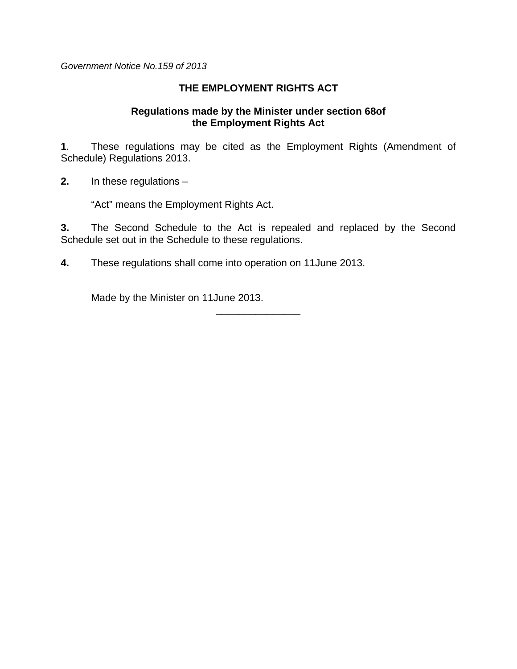*Government Notice No.159 of 2013* 

## **THE EMPLOYMENT RIGHTS ACT**

#### **Regulations made by the Minister under section 68of the Employment Rights Act**

**1**. These regulations may be cited as the Employment Rights (Amendment of Schedule) Regulations 2013.

**2.** In these regulations –

"Act" means the Employment Rights Act.

**3.** The Second Schedule to the Act is repealed and replaced by the Second Schedule set out in the Schedule to these regulations.

\_\_\_\_\_\_\_\_\_\_\_\_\_\_\_

**4.** These regulations shall come into operation on 11June 2013.

Made by the Minister on 11June 2013.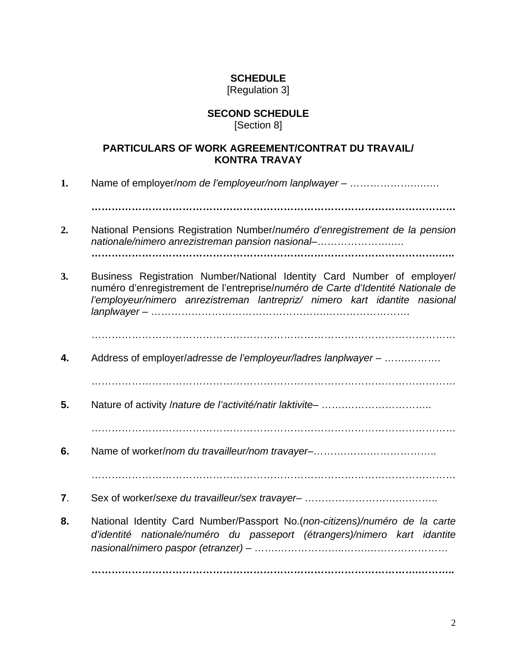# **SCHEDULE**

#### [Regulation 3]

## **SECOND SCHEDULE**

[Section 8]

## **PARTICULARS OF WORK AGREEMENT/CONTRAT DU TRAVAIL/ KONTRA TRAVAY**

**1.** Name of employer/*nom de l'employeur/nom lanplwayer* – ……………….….….

**………………………………………………………………………………………………** 

- **2.** National Pensions Registration Number/*numéro d'enregistrement de la pension nationale/nimero anrezistreman pansion nasional*–………………….…. **………………………………………………………………………………………….…..**
- **3.** Business Registration Number/National Identity Card Number of employer/ numéro d'enregistrement de l'entreprise/*numéro de Carte d'Identité Nationale de l'employeur/nimero anrezistreman lantrepriz/ nimero kart idantite nasional lanplwayer* – …………………………………………….…………………….

………………………………………………………………………………………………

**4.** Address of employer/*adresse de l'employeur/ladres lanplwayer* – …….……….

………………………………………………………………………………………………

**5.** Nature of activity /*nature de l'activité/natir laktivite*– …….……………………..

………………………………………………………………………………………………

**6.** Name of worker/*nom du travailleur/nom travayer*–……….…….………………..

………………………………………………………………………………………………

- **7**. Sex of worker/*sexe du travailleur/sex travayer* ……………………….….……..
- **8.** National Identity Card Number/Passport No.(*non-citizens)/numéro de la carte d'identité nationale/numéro du passeport (étrangers)/nimero kart idantite nasional/nimero paspor (etranzer)* – …….………………..…….……………………

**…………………………………………………………………………………….………..**